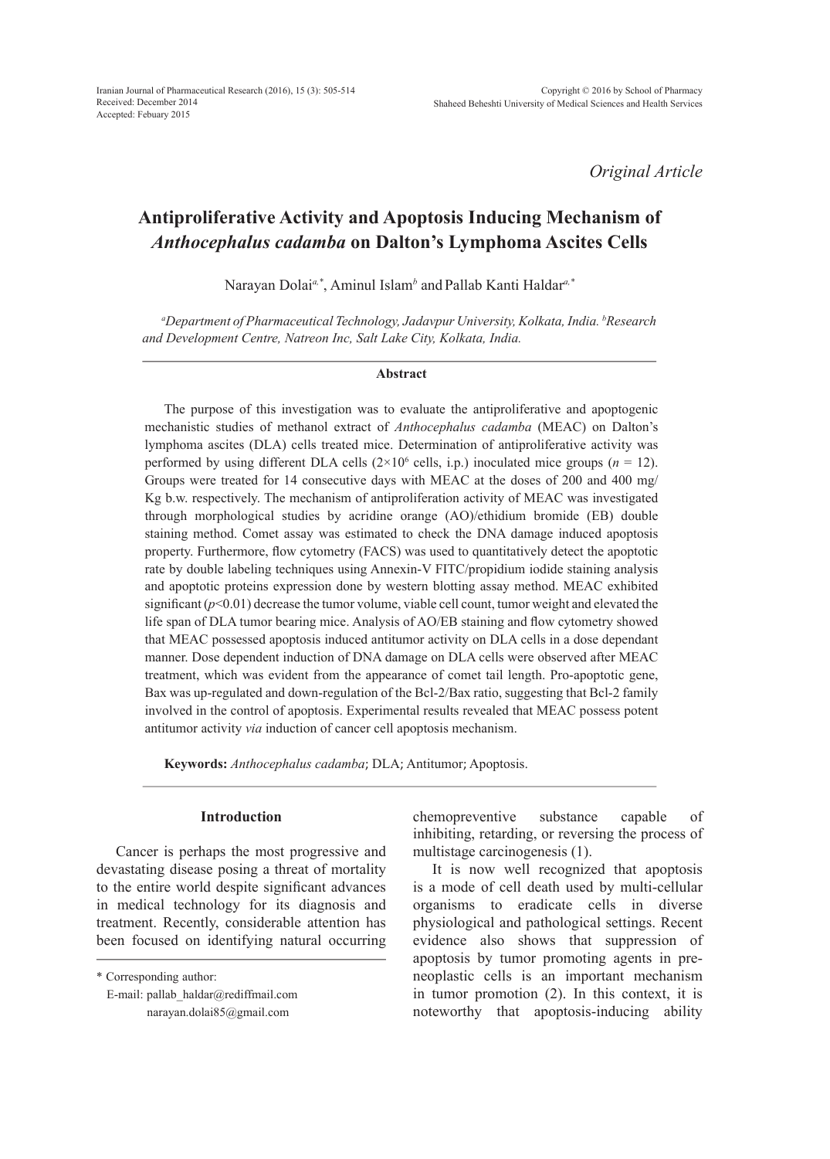*Original Article*

# **Antiproliferative Activity and Apoptosis Inducing Mechanism of**  *Anthocephalus cadamba* **on Dalton's Lymphoma Ascites Cells**

Narayan Dolai*a,\**, Aminul Islam*<sup>b</sup>* and Pallab Kanti Haldar*a,\**

*a Department of Pharmaceutical Technology, Jadavpur University, Kolkata, India. b Research and Development Centre, Natreon Inc, Salt Lake City, Kolkata, India.*

#### **Abstract**

The purpose of this investigation was to evaluate the antiproliferative and apoptogenic mechanistic studies of methanol extract of *Anthocephalus cadamba* (MEAC) on Dalton's lymphoma ascites (DLA) cells treated mice. Determination of antiproliferative activity was performed by using different DLA cells  $(2\times10^6 \text{ cells}, i.p.)$  inoculated mice groups  $(n = 12)$ . Groups were treated for 14 consecutive days with MEAC at the doses of 200 and 400 mg/ Kg b.w. respectively. The mechanism of antiproliferation activity of MEAC was investigated through morphological studies by acridine orange (AO)/ethidium bromide (EB) double staining method. Comet assay was estimated to check the DNA damage induced apoptosis property. Furthermore, flow cytometry (FACS) was used to quantitatively detect the apoptotic rate by double labeling techniques using Annexin-V FITC/propidium iodide staining analysis and apoptotic proteins expression done by western blotting assay method. MEAC exhibited significant ( $p<0.01$ ) decrease the tumor volume, viable cell count, tumor weight and elevated the life span of DLA tumor bearing mice. Analysis of AO/EB staining and flow cytometry showed that MEAC possessed apoptosis induced antitumor activity on DLA cells in a dose dependant manner. Dose dependent induction of DNA damage on DLA cells were observed after MEAC treatment, which was evident from the appearance of comet tail length. Pro-apoptotic gene, Bax was up-regulated and down-regulation of the Bcl-2/Bax ratio, suggesting that Bcl-2 family involved in the control of apoptosis. Experimental results revealed that MEAC possess potent antitumor activity *via* induction of cancer cell apoptosis mechanism.

**Keywords:** *Anthocephalus cadamba*; DLA; Antitumor; Apoptosis.

# **Introduction**

Cancer is perhaps the most progressive and devastating disease posing a threat of mortality to the entire world despite significant advances in medical technology for its diagnosis and treatment. Recently, considerable attention has been focused on identifying natural occurring chemopreventive substance capable of inhibiting, retarding, or reversing the process of multistage carcinogenesis (1).

It is now well recognized that apoptosis is a mode of cell death used by multi-cellular organisms to eradicate cells in diverse physiological and pathological settings. Recent evidence also shows that suppression of apoptosis by tumor promoting agents in preneoplastic cells is an important mechanism in tumor promotion (2). In this context, it is noteworthy that apoptosis-inducing ability

<sup>\*</sup> Corresponding author:

E-mail: pallab\_haldar@rediffmail.com narayan.dolai85@gmail.com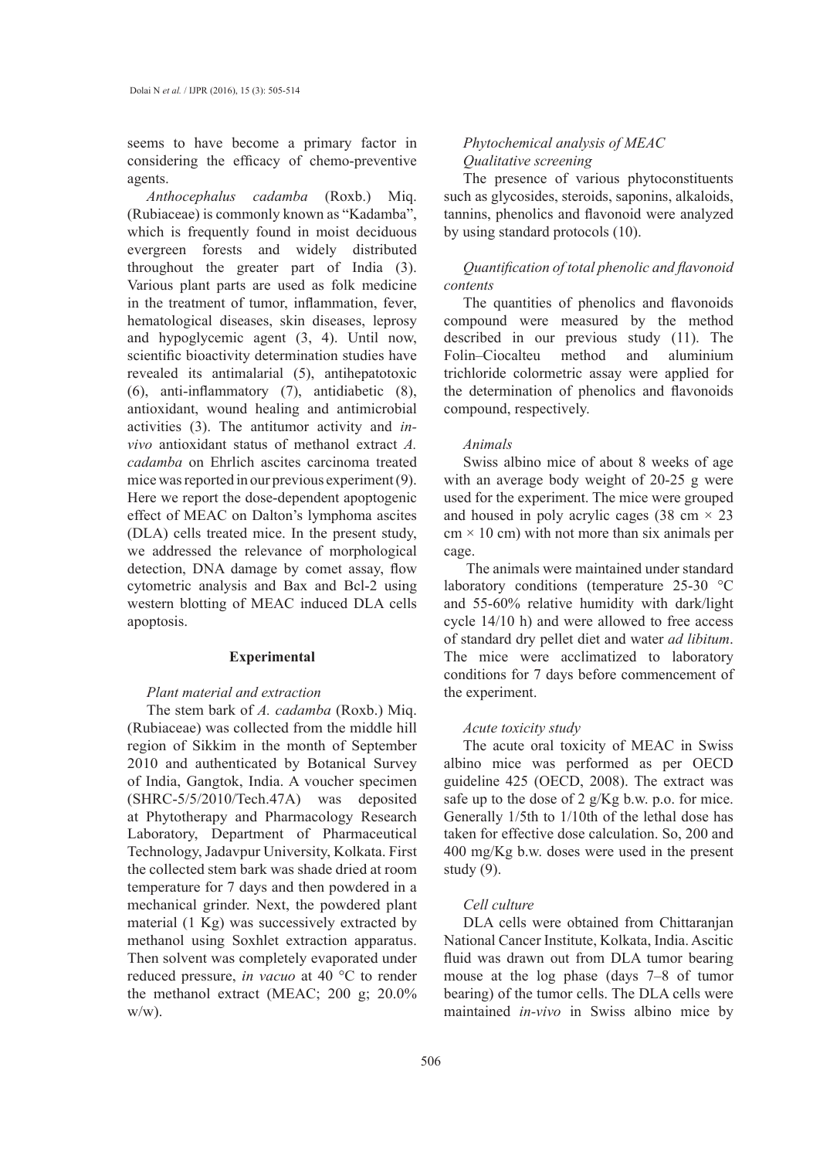seems to have become a primary factor in considering the efficacy of chemo-preventive agents.

*Anthocephalus cadamba* (Roxb.) Miq. (Rubiaceae) is commonly known as "Kadamba", which is frequently found in moist deciduous evergreen forests and widely distributed throughout the greater part of India (3). Various plant parts are used as folk medicine in the treatment of tumor, inflammation, fever, hematological diseases, skin diseases, leprosy and hypoglycemic agent (3, 4). Until now, scientific bioactivity determination studies have revealed its antimalarial (5), antihepatotoxic (6), anti-inflammatory (7), antidiabetic (8), antioxidant, wound healing and antimicrobial activities (3). The antitumor activity and *invivo* antioxidant status of methanol extract *A. cadamba* on Ehrlich ascites carcinoma treated mice was reported in our previous experiment (9). Here we report the dose-dependent apoptogenic effect of MEAC on Dalton's lymphoma ascites (DLA) cells treated mice. In the present study, we addressed the relevance of morphological detection, DNA damage by comet assay, flow cytometric analysis and Bax and Bcl-2 using western blotting of MEAC induced DLA cells apoptosis.

#### **Experimental**

## *Plant material and extraction*

The stem bark of *A. cadamba* (Roxb.) Miq. (Rubiaceae) was collected from the middle hill region of Sikkim in the month of September 2010 and authenticated by Botanical Survey of India, Gangtok, India. A voucher specimen (SHRC-5/5/2010/Tech.47A) was deposited at Phytotherapy and Pharmacology Research Laboratory, Department of Pharmaceutical Technology, Jadavpur University, Kolkata. First the collected stem bark was shade dried at room temperature for 7 days and then powdered in a mechanical grinder. Next, the powdered plant material (1 Kg) was successively extracted by methanol using Soxhlet extraction apparatus. Then solvent was completely evaporated under reduced pressure, *in vacuo* at 40 °C to render the methanol extract (MEAC; 200 g; 20.0% w/w).

## *Phytochemical analysis of MEAC Qualitative screening*

The presence of various phytoconstituents such as glycosides, steroids, saponins, alkaloids, tannins, phenolics and flavonoid were analyzed by using standard protocols (10).

# *Quantification of total phenolic and flavonoid contents*

The quantities of phenolics and flavonoids compound were measured by the method described in our previous study (11). The Folin–Ciocalteu method and aluminium trichloride colormetric assay were applied for the determination of phenolics and flavonoids compound, respectively.

#### *Animals*

Swiss albino mice of about 8 weeks of age with an average body weight of 20-25 g were used for the experiment. The mice were grouped and housed in poly acrylic cages (38 cm  $\times$  23  $cm \times 10$  cm) with not more than six animals per cage.

 The animals were maintained under standard laboratory conditions (temperature 25-30 °C and 55-60% relative humidity with dark/light cycle 14/10 h) and were allowed to free access of standard dry pellet diet and water *ad libitum*. The mice were acclimatized to laboratory conditions for 7 days before commencement of the experiment.

#### *Acute toxicity study*

The acute oral toxicity of MEAC in Swiss albino mice was performed as per OECD guideline 425 (OECD, 2008). The extract was safe up to the dose of 2 g/Kg b.w. p.o. for mice. Generally 1/5th to 1/10th of the lethal dose has taken for effective dose calculation. So, 200 and 400 mg/Kg b.w. doses were used in the present study (9).

#### *Cell culture*

DLA cells were obtained from Chittaranjan National Cancer Institute, Kolkata, India. Ascitic fluid was drawn out from DLA tumor bearing mouse at the log phase (days 7–8 of tumor bearing) of the tumor cells. The DLA cells were maintained *in-vivo* in Swiss albino mice by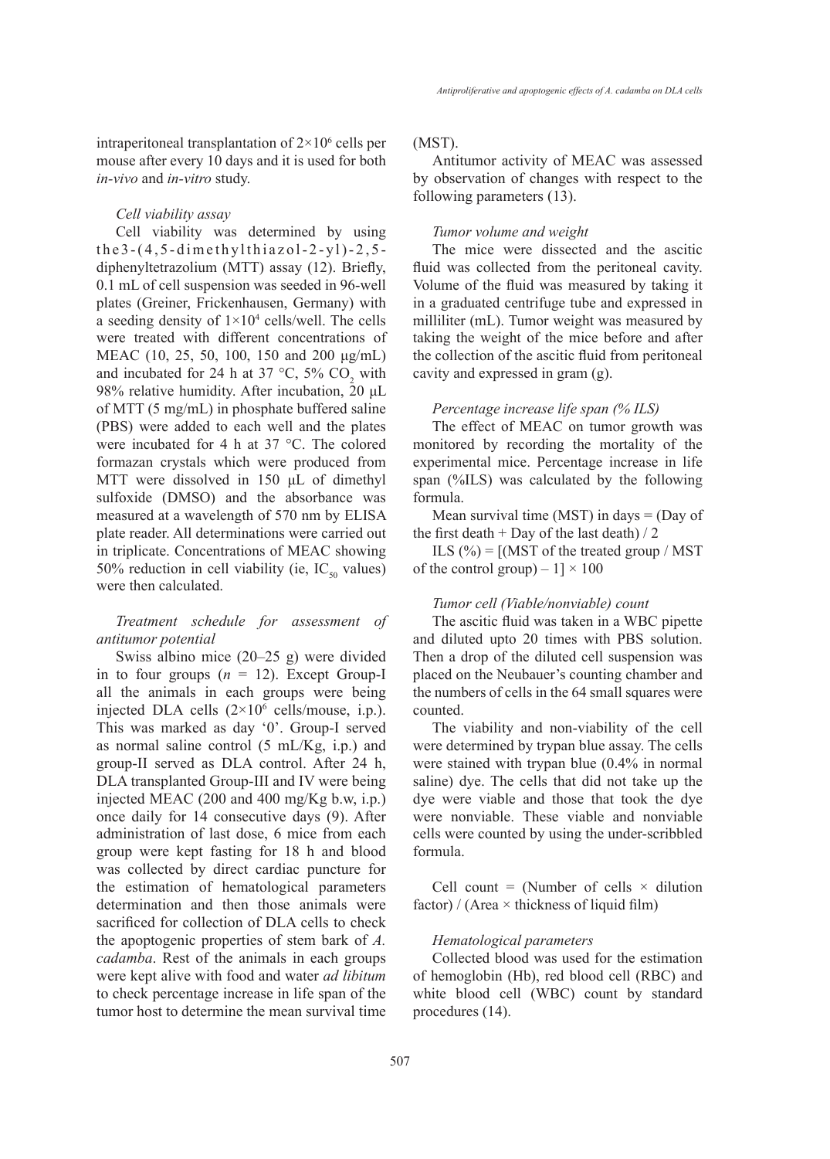intraperitoneal transplantation of  $2 \times 10^6$  cells per mouse after every 10 days and it is used for both *in-vivo* and *in-vitro* study.

#### *Cell viability assay*

Cell viability was determined by using the3-(4,5-dimethylthiazol-2-yl)-2,5 diphenyltetrazolium (MTT) assay (12). Briefly, 0.1 mL of cell suspension was seeded in 96-well plates (Greiner, Frickenhausen, Germany) with a seeding density of  $1 \times 10^4$  cells/well. The cells were treated with different concentrations of MEAC (10, 25, 50, 100, 150 and 200 μg/mL) and incubated for 24 h at 37 °C, 5%  $CO_2$  with 98% relative humidity. After incubation, 20 μL of MTT (5 mg/mL) in phosphate buffered saline (PBS) were added to each well and the plates were incubated for 4 h at 37 °C. The colored formazan crystals which were produced from MTT were dissolved in 150 μL of dimethyl sulfoxide (DMSO) and the absorbance was measured at a wavelength of 570 nm by ELISA plate reader. All determinations were carried out in triplicate. Concentrations of MEAC showing 50% reduction in cell viability (ie,  $IC_{50}$  values) were then calculated.

## *Treatment schedule for assessment of antitumor potential*

Swiss albino mice (20–25 g) were divided in to four groups  $(n = 12)$ . Except Group-I all the animals in each groups were being injected DLA cells  $(2\times10^6 \text{ cells/mouse}, i.p.).$ This was marked as day '0'. Group-I served as normal saline control (5 mL/Kg, i.p.) and group-II served as DLA control. After 24 h, DLA transplanted Group-III and IV were being injected MEAC (200 and 400 mg/Kg b.w, i.p.) once daily for 14 consecutive days (9). After administration of last dose, 6 mice from each group were kept fasting for 18 h and blood was collected by direct cardiac puncture for the estimation of hematological parameters determination and then those animals were sacrificed for collection of DLA cells to check the apoptogenic properties of stem bark of *A. cadamba*. Rest of the animals in each groups were kept alive with food and water *ad libitum* to check percentage increase in life span of the tumor host to determine the mean survival time

#### (MST).

Antitumor activity of MEAC was assessed by observation of changes with respect to the following parameters (13).

#### *Tumor volume and weight*

The mice were dissected and the ascitic fluid was collected from the peritoneal cavity. Volume of the fluid was measured by taking it in a graduated centrifuge tube and expressed in milliliter (mL). Tumor weight was measured by taking the weight of the mice before and after the collection of the ascitic fluid from peritoneal cavity and expressed in gram (g).

#### *Percentage increase life span (% ILS)*

The effect of MEAC on tumor growth was monitored by recording the mortality of the experimental mice. Percentage increase in life span (%ILS) was calculated by the following formula.

Mean survival time (MST) in days  $=$  (Day of the first death + Day of the last death)  $/2$ 

ILS  $(\% ) = [$ (MST of the treated group / MST of the control group) –  $1] \times 100$ 

#### *Tumor cell (Viable/nonviable) count*

The ascitic fluid was taken in a WBC pipette and diluted upto 20 times with PBS solution. Then a drop of the diluted cell suspension was placed on the Neubauer's counting chamber and the numbers of cells in the 64 small squares were counted.

The viability and non-viability of the cell were determined by trypan blue assay. The cells were stained with trypan blue (0.4% in normal saline) dye. The cells that did not take up the dye were viable and those that took the dye were nonviable. These viable and nonviable cells were counted by using the under-scribbled formula.

Cell count = (Number of cells  $\times$  dilution factor) / (Area  $\times$  thickness of liquid film)

#### *Hematological parameters*

Collected blood was used for the estimation of hemoglobin (Hb), red blood cell (RBC) and white blood cell (WBC) count by standard procedures (14).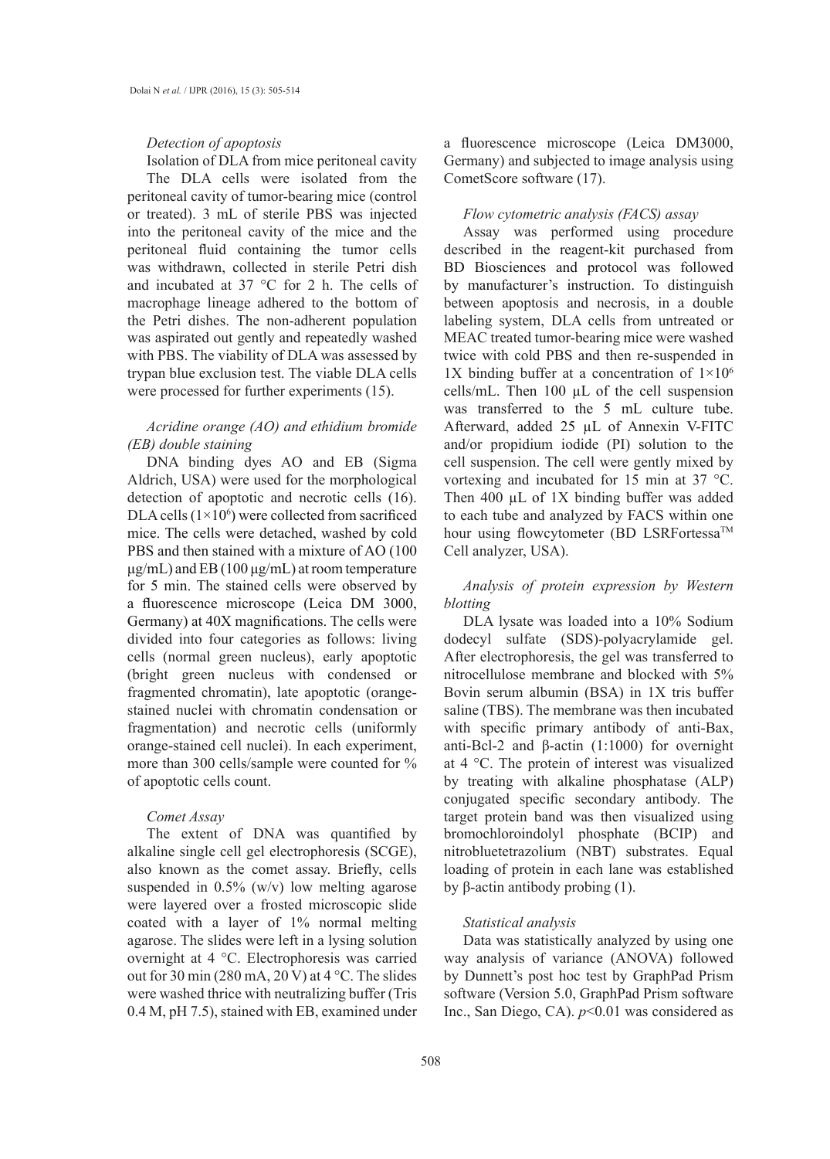#### *Detection of apoptosis*

Isolation of DLA from mice peritoneal cavity The DLA cells were isolated from the peritoneal cavity of tumor-bearing mice (control or treated). 3 mL of sterile PBS was injected into the peritoneal cavity of the mice and the peritoneal fluid containing the tumor cells was withdrawn, collected in sterile Petri dish and incubated at 37 °C for 2 h. The cells of macrophage lineage adhered to the bottom of the Petri dishes. The non-adherent population was aspirated out gently and repeatedly washed with PBS. The viability of DLA was assessed by trypan blue exclusion test. The viable DLA cells were processed for further experiments (15).

# *Acridine orange (AO) and ethidium bromide (EB) double staining*

DNA binding dyes AO and EB (Sigma Aldrich, USA) were used for the morphological detection of apoptotic and necrotic cells (16). DLA cells  $(1\times10^6)$  were collected from sacrificed mice. The cells were detached, washed by cold PBS and then stained with a mixture of AO (100  $\mu$ g/mL) and EB (100  $\mu$ g/mL) at room temperature for 5 min. The stained cells were observed by a fluorescence microscope (Leica DM 3000, Germany) at 40X magnifications. The cells were divided into four categories as follows: living cells (normal green nucleus), early apoptotic (bright green nucleus with condensed or fragmented chromatin), late apoptotic (orangestained nuclei with chromatin condensation or fragmentation) and necrotic cells (uniformly orange-stained cell nuclei). In each experiment, more than 300 cells/sample were counted for % of apoptotic cells count.

## *Comet Assay*

The extent of DNA was quantified by alkaline single cell gel electrophoresis (SCGE), also known as the comet assay. Briefly, cells suspended in 0.5% (w/v) low melting agarose were layered over a frosted microscopic slide coated with a layer of 1% normal melting agarose. The slides were left in a lysing solution overnight at 4 °C. Electrophoresis was carried out for 30 min (280 mA, 20 V) at 4 °C. The slides were washed thrice with neutralizing buffer (Tris 0.4 M, pH 7.5), stained with EB, examined under

a fluorescence microscope (Leica DM3000, Germany) and subjected to image analysis using CometScore software (17).

## *Flow cytometric analysis (FACS) assay*

Assay was performed using procedure described in the reagent-kit purchased from BD Biosciences and protocol was followed by manufacturer's instruction. To distinguish between apoptosis and necrosis, in a double labeling system, DLA cells from untreated or MEAC treated tumor-bearing mice were washed twice with cold PBS and then re-suspended in 1X binding buffer at a concentration of  $1\times10^6$ cells/mL. Then  $100 \mu L$  of the cell suspension was transferred to the 5 mL culture tube. Afterward, added 25 µL of Annexin V-FITC and/or propidium iodide (PI) solution to the cell suspension. The cell were gently mixed by vortexing and incubated for 15 min at 37 °C. Then 400  $\mu$ L of 1X binding buffer was added to each tube and analyzed by FACS within one hour using flowcytometer (BD LSRFortessa™ Cell analyzer, USA).

*Analysis of protein expression by Western blotting*

DLA lysate was loaded into a 10% Sodium dodecyl sulfate (SDS)-polyacrylamide gel. After electrophoresis, the gel was transferred to nitrocellulose membrane and blocked with 5% Bovin serum albumin (BSA) in 1X tris buffer saline (TBS). The membrane was then incubated with specific primary antibody of anti-Bax, anti-Bcl-2 and β-actin (1:1000) for overnight at 4 °C. The protein of interest was visualized by treating with alkaline phosphatase (ALP) conjugated specific secondary antibody. The target protein band was then visualized using bromochloroindolyl phosphate (BCIP) and nitrobluetetrazolium (NBT) substrates. Equal loading of protein in each lane was established by β-actin antibody probing  $(1)$ .

## *Statistical analysis*

Data was statistically analyzed by using one way analysis of variance (ANOVA) followed by Dunnett's post hoc test by GraphPad Prism software (Version 5.0, GraphPad Prism software Inc., San Diego, CA).  $p<0.01$  was considered as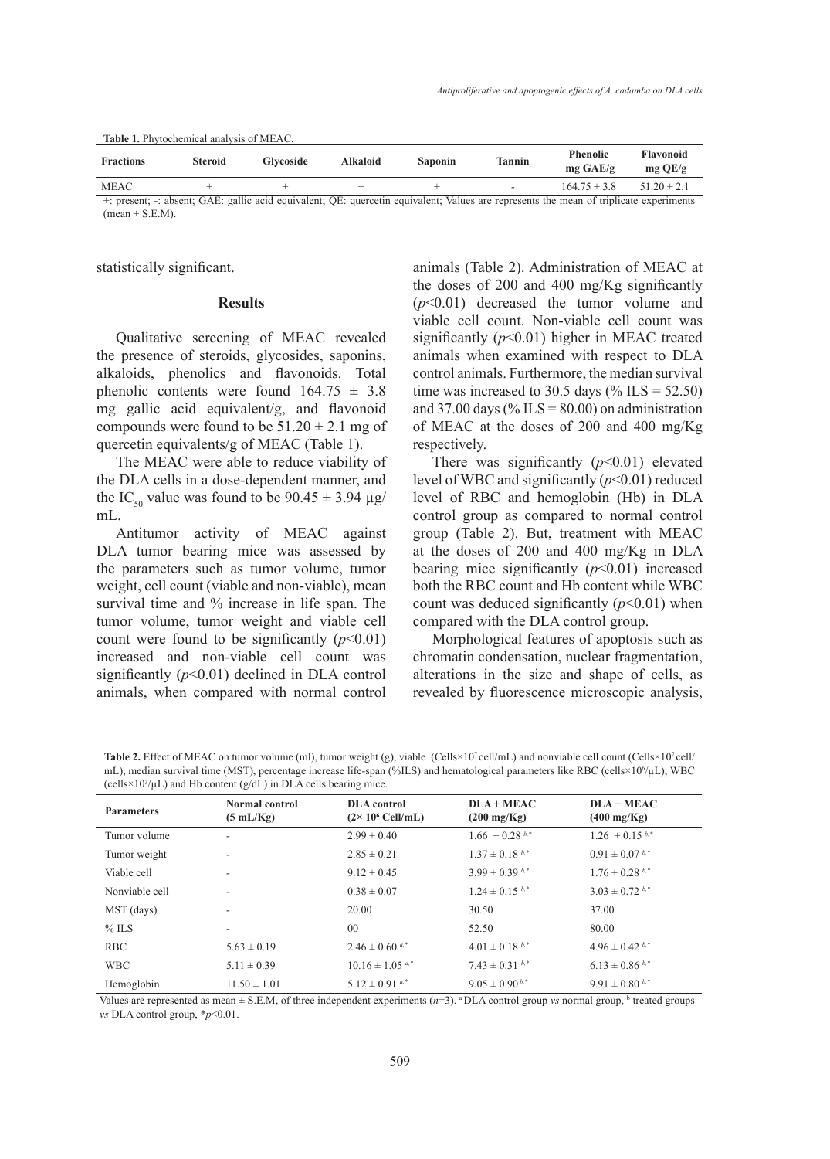|  |  |  |  | <b>Table 1.</b> Phytochemical analysis of MEAC. |
|--|--|--|--|-------------------------------------------------|
|--|--|--|--|-------------------------------------------------|

| <b>Fractions</b> | <b>Steroid</b> | <b>Glycoside</b> | <b>Alkaloid</b> | <b>Saponin</b> | Tannin                   | <b>Phenolic</b><br>$mg \text{ GAE}/g$ | Flavonoid<br>$mg$ QE/g |
|------------------|----------------|------------------|-----------------|----------------|--------------------------|---------------------------------------|------------------------|
| <b>MEAC</b>      |                |                  | $\sqrt{1}$      |                | $\overline{\phantom{a}}$ | $164.75 \pm 3.8$                      | $51.20 \pm 2.1$        |

+: present; -: absent; GAE: gallic acid equivalent; QE: quercetin equivalent; Values are represents the mean of triplicate experiments  $(mean \pm S.E.M).$ 

statistically significant.

#### **Results**

Qualitative screening of MEAC revealed the presence of steroids, glycosides, saponins, alkaloids, phenolics and flavonoids. Total phenolic contents were found  $164.75 \pm 3.8$ mg gallic acid equivalent/g, and flavonoid compounds were found to be  $51.20 \pm 2.1$  mg of quercetin equivalents/g of MEAC (Table 1).

The MEAC were able to reduce viability of the DLA cells in a dose-dependent manner, and the IC<sub>50</sub> value was found to be  $90.45 \pm 3.94 \text{ }\mu\text{g}$ / mL.

Antitumor activity of MEAC against DLA tumor bearing mice was assessed by the parameters such as tumor volume, tumor weight, cell count (viable and non-viable), mean survival time and % increase in life span. The tumor volume, tumor weight and viable cell count were found to be significantly  $(p<0.01)$ increased and non-viable cell count was significantly (*p*<0.01) declined in DLA control animals, when compared with normal control animals (Table 2). Administration of MEAC at the doses of 200 and 400 mg/Kg significantly (*p*<0.01) decreased the tumor volume and viable cell count. Non-viable cell count was significantly  $(p<0.01)$  higher in MEAC treated animals when examined with respect to DLA control animals. Furthermore, the median survival time was increased to 30.5 days (% ILS =  $52.50$ ) and 37.00 days (% ILS =  $80.00$ ) on administration of MEAC at the doses of 200 and 400 mg/Kg respectively.

There was significantly  $(p<0.01)$  elevated level of WBC and significantly (*p*<0.01) reduced level of RBC and hemoglobin (Hb) in DLA control group as compared to normal control group (Table 2). But, treatment with MEAC at the doses of 200 and 400 mg/Kg in DLA bearing mice significantly (*p*<0.01) increased both the RBC count and Hb content while WBC count was deduced significantly  $(p<0.01)$  when compared with the DLA control group.

Morphological features of apoptosis such as chromatin condensation, nuclear fragmentation, alterations in the size and shape of cells, as revealed by fluorescence microscopic analysis,

**Table 2.** Effect of MEAC on tumor volume (ml), tumor weight (g), viable (Cells×10<sup>7</sup>cell/mL) and nonviable cell count (Cells×10<sup>7</sup>cell/ mL), median survival time (MST), percentage increase life-span (%ILS) and hematological parameters like RBC (cells×10<sup>6</sup> /µL), WBC  $(cells \times 10^3/\mu L)$  and Hb content  $(g/dL)$  in DLA cells bearing mice.

| <b>Parameters</b> | <b>Normal control</b><br>(5 mL/Kg) | <b>DLA</b> control<br>$(2 \times 10^6 \text{ Cell/mL})$ | $DLA + MEAC$<br>$(200 \text{ mg/Kg})$ | $DLA + MEAC$<br>$(400 \text{ mg/Kg})$ |  |
|-------------------|------------------------------------|---------------------------------------------------------|---------------------------------------|---------------------------------------|--|
| Tumor volume      | $\overline{\phantom{a}}$           | $2.99 \pm 0.40$                                         | $1.66 \pm 0.28^{b,*}$                 | $1.26 \pm 0.15^{b,*}$                 |  |
| Tumor weight      | ۰.                                 | $2.85 \pm 0.21$                                         | $1.37 \pm 0.18^{b,*}$                 | $0.91 \pm 0.07 h^{*}$                 |  |
| Viable cell       | $\overline{\phantom{a}}$           | $9.12 \pm 0.45$                                         | $3.99 \pm 0.39^{b,*}$                 | $1.76 \pm 0.28^{b,*}$                 |  |
| Nonviable cell    | $\overline{\phantom{a}}$           | $0.38 \pm 0.07$                                         | $1.24 \pm 0.15^{b,*}$                 | $3.03 \pm 0.72$ b,*                   |  |
| MST (days)        | ۰.                                 | 20.00                                                   | 30.50                                 | 37.00                                 |  |
| $%$ ILS           | ۰                                  | $00\,$                                                  | 52.50                                 | 80.00                                 |  |
| <b>RBC</b>        | $5.63 \pm 0.19$                    | $2.46 \pm 0.60$ a.*                                     | $4.01 \pm 0.18^{b,*}$                 | $4.96 \pm 0.42^{b,*}$                 |  |
| <b>WBC</b>        | $5.11 \pm 0.39$                    | $10.16 \pm 1.05$ <sup>a,*</sup>                         | $7.43 \pm 0.31^{b,*}$                 | $6.13 \pm 0.86^{b,*}$                 |  |
| Hemoglobin        | $11.50 \pm 1.01$                   | $5.12 \pm 0.91$ <sup>a,*</sup>                          | $9.05 \pm 0.90^{b,*}$                 | $9.91 \pm 0.80^{b,*}$                 |  |

Values are represented as mean  $\pm$  S.E.M, of three independent experiments  $(n=3)$ . <sup>a</sup> DLA control group *vs* normal group, <sup>b</sup> treated groups *vs* DLA control group, \**p*<0.01.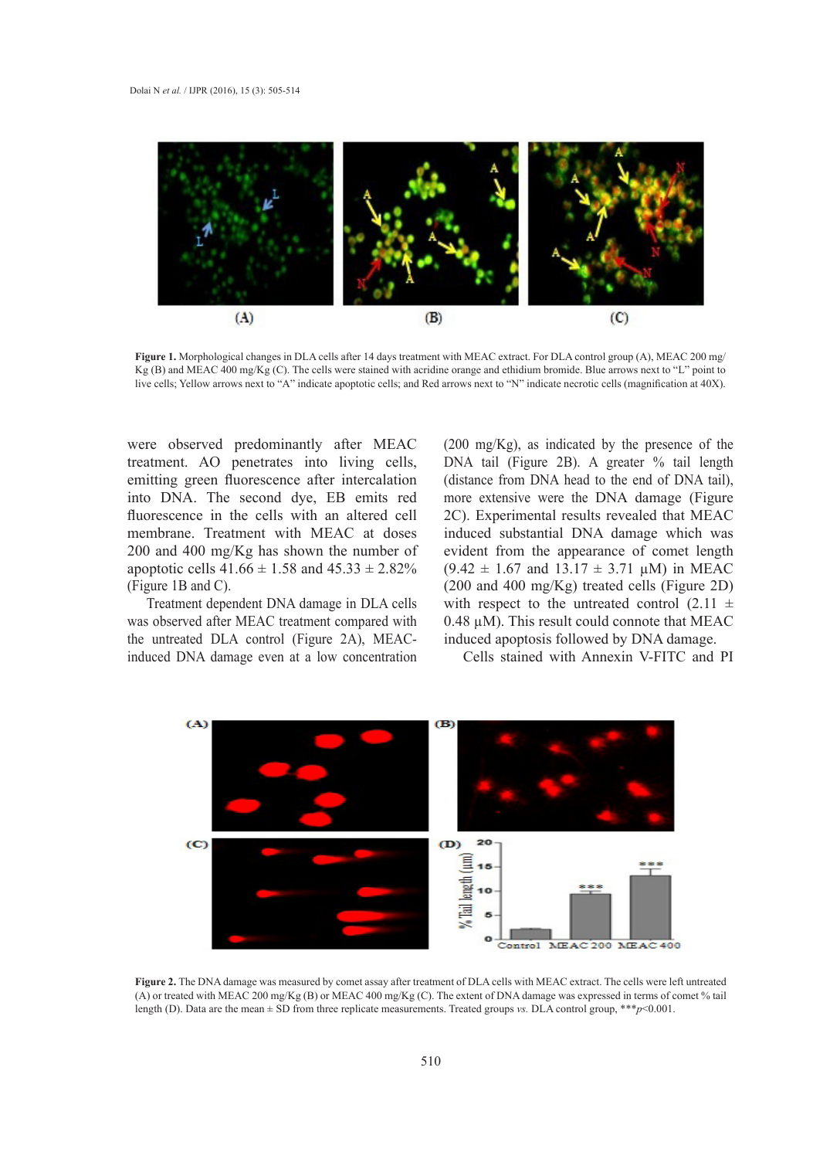

**Figure 1.** Morphological changes in DLA cells after 14 days treatment with MEAC extract. For DLA control group (A), MEAC 200 mg/ Kg (B) and MEAC 400 mg/Kg (C). The cells were stained with acridine orange and ethidium bromide. Blue arrows next to "L" point to live cells; Yellow arrows next to "A" indicate apoptotic cells; and Red arrows next to "N" indicate necrotic cells (magnification at 40X).

were observed predominantly after MEAC treatment. AO penetrates into living cells, emitting green fluorescence after intercalation into DNA. The second dye, EB emits red fluorescence in the cells with an altered cell membrane. Treatment with MEAC at doses 200 and 400 mg/Kg has shown the number of apoptotic cells  $41.66 \pm 1.58$  and  $45.33 \pm 2.82\%$ (Figure 1B and C).

Treatment dependent DNA damage in DLA cells was observed after MEAC treatment compared with the untreated DLA control (Figure 2A), MEACinduced DNA damage even at a low concentration (200 mg/Kg), as indicated by the presence of the DNA tail (Figure 2B). A greater % tail length (distance from DNA head to the end of DNA tail), more extensive were the DNA damage (Figure 2C). Experimental results revealed that MEAC induced substantial DNA damage which was evident from the appearance of comet length  $(9.42 \pm 1.67 \text{ and } 13.17 \pm 3.71 \text{ }\mu\text{M})$  in MEAC (200 and 400 mg/Kg) treated cells (Figure 2D) with respect to the untreated control  $(2.11 \pm$ 0.48 µM). This result could connote that MEAC induced apoptosis followed by DNA damage.

Cells stained with Annexin V-FITC and PI



**Figure 2.** The DNA damage was measured by comet assay after treatment of DLA cells with MEAC extract. The cells were left untreated (A) or treated with MEAC 200 mg/Kg (B) or MEAC 400 mg/Kg (C). The extent of DNA damage was expressed in terms of comet % tail length (D). Data are the mean ± SD from three replicate measurements. Treated groups *vs.* DLA control group, \*\*\**p*<0.001.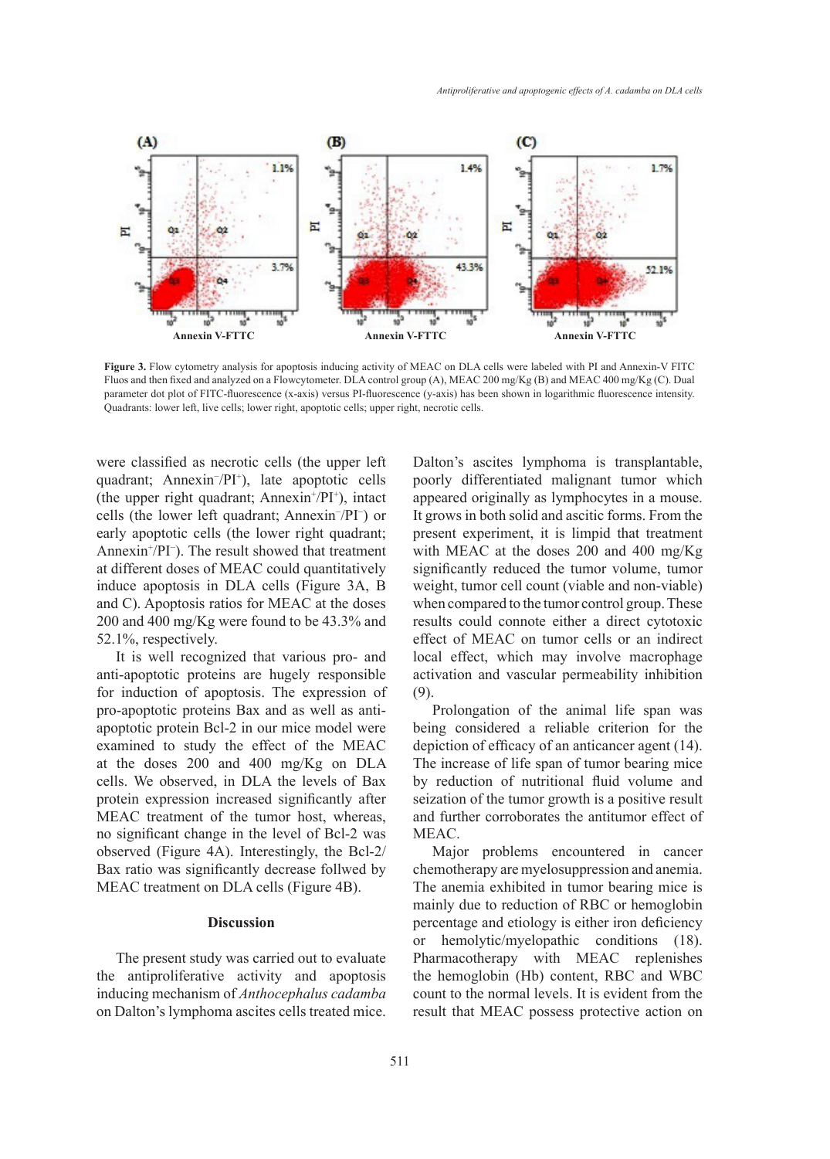

**Figure 3.** Flow cytometry analysis for apoptosis inducing activity of MEAC on DLA cells were labeled with PI and Annexin-V FITC Fluos and then fixed and analyzed on a Flowcytometer. DLA control group (A), MEAC 200 mg/Kg (B) and MEAC 400 mg/Kg (C). Dual parameter dot plot of FITC-fluorescence (x-axis) versus PI-fluorescence (y-axis) has been shown in logarithmic fluorescence intensity. Quadrants: lower left, live cells; lower right, apoptotic cells; upper right, necrotic cells.

were classified as necrotic cells (the upper left quadrant; Annexin− /PI<sup>+</sup> ), late apoptotic cells (the upper right quadrant; Annexin+ /PI<sup>+</sup> ), intact cells (the lower left quadrant; Annexin− /PI<sup>−</sup> ) or early apoptotic cells (the lower right quadrant; Annexin<sup>+</sup> /PI<sup>−</sup> ). The result showed that treatment at different doses of MEAC could quantitatively induce apoptosis in DLA cells (Figure 3A, B and C). Apoptosis ratios for MEAC at the doses 200 and 400 mg/Kg were found to be 43.3% and 52.1%, respectively.

It is well recognized that various pro- and anti-apoptotic proteins are hugely responsible for induction of apoptosis. The expression of pro-apoptotic proteins Bax and as well as antiapoptotic protein Bcl-2 in our mice model were examined to study the effect of the MEAC at the doses 200 and 400 mg/Kg on DLA cells. We observed, in DLA the levels of Bax protein expression increased significantly after MEAC treatment of the tumor host, whereas, no significant change in the level of Bcl-2 was observed (Figure 4A). Interestingly, the Bcl-2/ Bax ratio was significantly decrease follwed by MEAC treatment on DLA cells (Figure 4B).

#### **Discussion**

The present study was carried out to evaluate the antiproliferative activity and apoptosis inducing mechanism of *Anthocephalus cadamba* on Dalton's lymphoma ascites cells treated mice.

Dalton's ascites lymphoma is transplantable, poorly differentiated malignant tumor which appeared originally as lymphocytes in a mouse. It grows in both solid and ascitic forms. From the present experiment, it is limpid that treatment with MEAC at the doses 200 and 400 mg/Kg significantly reduced the tumor volume, tumor weight, tumor cell count (viable and non-viable) when compared to the tumor control group. These results could connote either a direct cytotoxic effect of MEAC on tumor cells or an indirect local effect, which may involve macrophage activation and vascular permeability inhibition (9).

Prolongation of the animal life span was being considered a reliable criterion for the depiction of efficacy of an anticancer agent (14). The increase of life span of tumor bearing mice by reduction of nutritional fluid volume and seization of the tumor growth is a positive result and further corroborates the antitumor effect of MEAC.

Major problems encountered in cancer chemotherapy are myelosuppression and anemia. The anemia exhibited in tumor bearing mice is mainly due to reduction of RBC or hemoglobin percentage and etiology is either iron deficiency or hemolytic/myelopathic conditions (18). Pharmacotherapy with MEAC replenishes the hemoglobin (Hb) content, RBC and WBC count to the normal levels. It is evident from the result that MEAC possess protective action on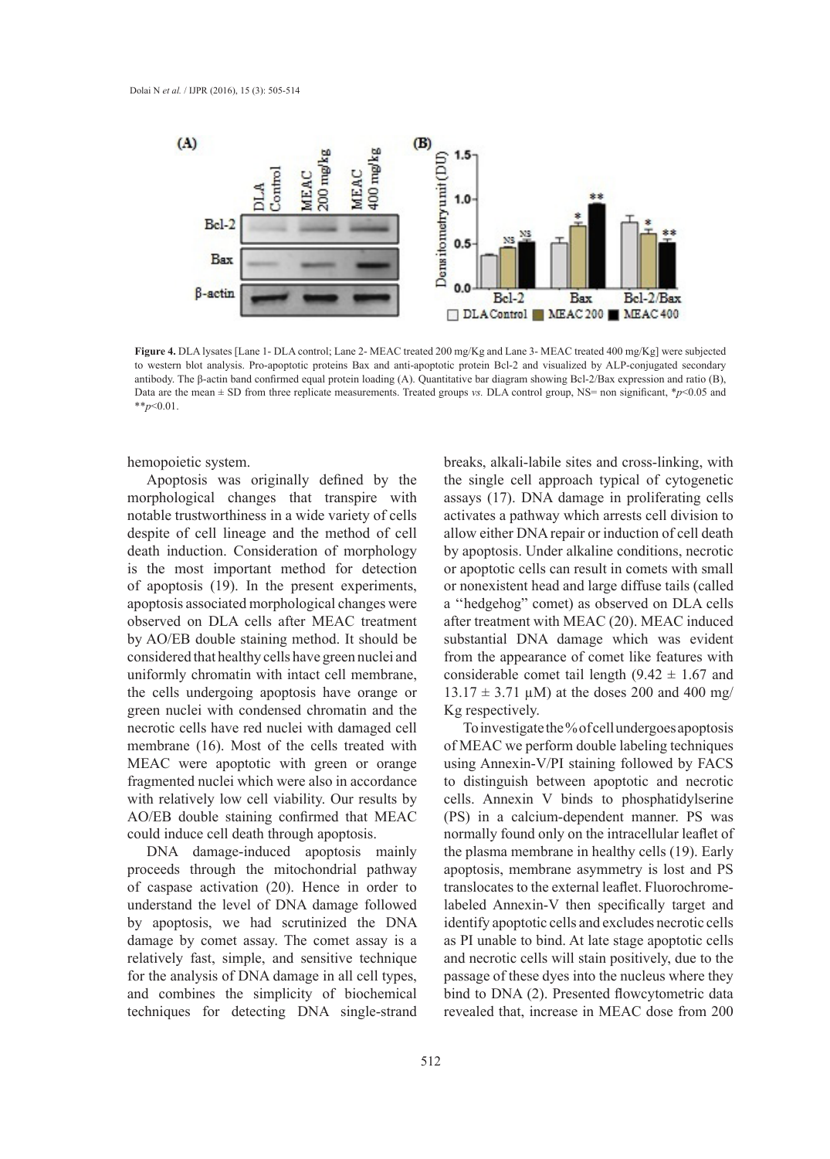

**Figure 4.** DLA lysates [Lane 1- DLA control; Lane 2- MEAC treated 200 mg/Kg and Lane 3- MEAC treated 400 mg/Kg] were subjected to western blot analysis. Pro-apoptotic proteins Bax and anti-apoptotic protein Bcl-2 and visualized by ALP-conjugated secondary antibody. The β-actin band confirmed equal protein loading (A). Quantitative bar diagram showing Bcl-2/Bax expression and ratio (B), Data are the mean ± SD from three replicate measurements. Treated groups *vs.* DLA control group, NS= non significant, \**p*<0.05 and \*\**p*<0.01.

hemopoietic system.

Apoptosis was originally defined by the morphological changes that transpire with notable trustworthiness in a wide variety of cells despite of cell lineage and the method of cell death induction. Consideration of morphology is the most important method for detection of apoptosis (19). In the present experiments, apoptosis associated morphological changes were observed on DLA cells after MEAC treatment by AO/EB double staining method. It should be considered that healthy cells have green nuclei and uniformly chromatin with intact cell membrane, the cells undergoing apoptosis have orange or green nuclei with condensed chromatin and the necrotic cells have red nuclei with damaged cell membrane (16). Most of the cells treated with MEAC were apoptotic with green or orange fragmented nuclei which were also in accordance with relatively low cell viability. Our results by AO/EB double staining confirmed that MEAC could induce cell death through apoptosis.

DNA damage-induced apoptosis mainly proceeds through the mitochondrial pathway of caspase activation (20). Hence in order to understand the level of DNA damage followed by apoptosis, we had scrutinized the DNA damage by comet assay. The comet assay is a relatively fast, simple, and sensitive technique for the analysis of DNA damage in all cell types, and combines the simplicity of biochemical techniques for detecting DNA single-strand

breaks, alkali-labile sites and cross-linking, with the single cell approach typical of cytogenetic assays (17). DNA damage in proliferating cells activates a pathway which arrests cell division to allow either DNA repair or induction of cell death by apoptosis. Under alkaline conditions, necrotic or apoptotic cells can result in comets with small or nonexistent head and large diffuse tails (called a ''hedgehog" comet) as observed on DLA cells after treatment with MEAC (20). MEAC induced substantial DNA damage which was evident from the appearance of comet like features with considerable comet tail length  $(9.42 \pm 1.67)$  and  $13.17 \pm 3.71 \mu M$ ) at the doses 200 and 400 mg/ Kg respectively.

To investigate the % of cell undergoes apoptosis of MEAC we perform double labeling techniques using Annexin-V/PI staining followed by FACS to distinguish between apoptotic and necrotic cells. Annexin V binds to phosphatidylserine (PS) in a calcium-dependent manner. PS was normally found only on the intracellular leaflet of the plasma membrane in healthy cells (19). Early apoptosis, membrane asymmetry is lost and PS translocates to the external leaflet. Fluorochromelabeled Annexin-V then specifically target and identify apoptotic cells and excludes necrotic cells as PI unable to bind. At late stage apoptotic cells and necrotic cells will stain positively, due to the passage of these dyes into the nucleus where they bind to DNA (2). Presented flowcytometric data revealed that, increase in MEAC dose from 200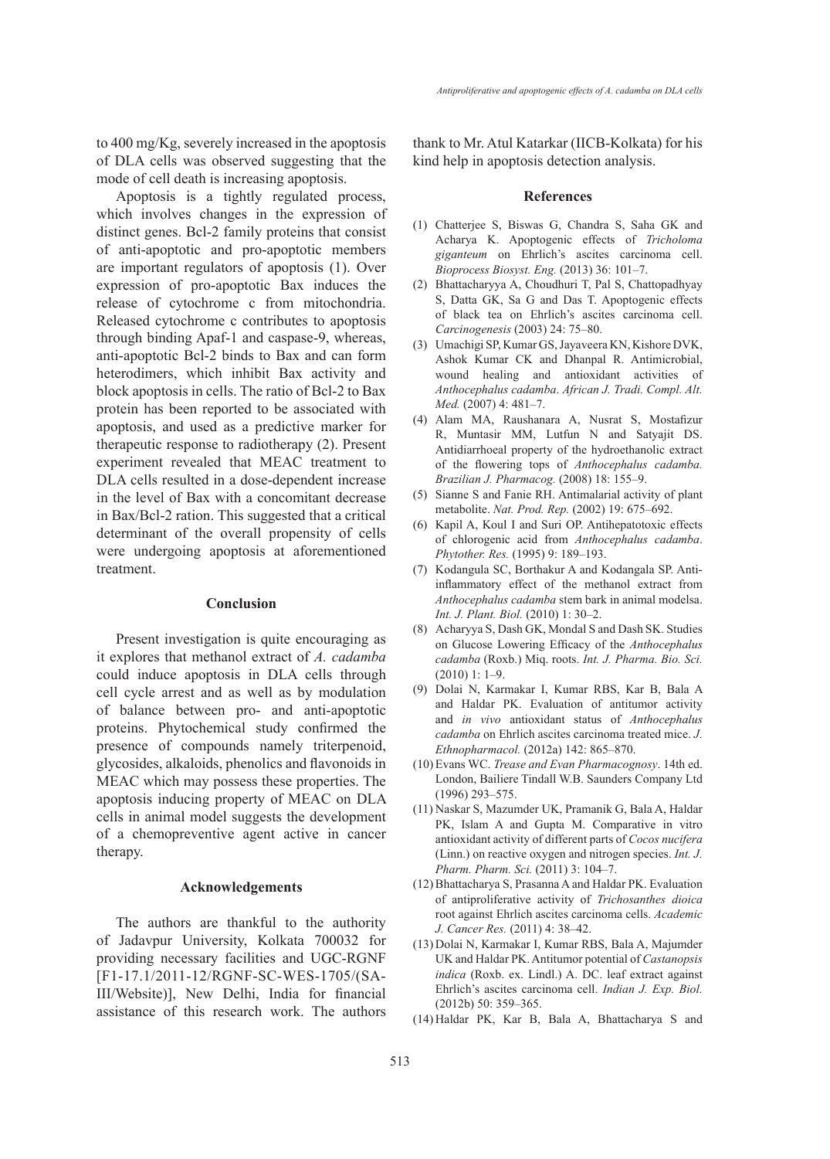to 400 mg/Kg, severely increased in the apoptosis of DLA cells was observed suggesting that the mode of cell death is increasing apoptosis.

Apoptosis is a tightly regulated process, which involves changes in the expression of distinct genes. Bcl-2 family proteins that consist of anti-apoptotic and pro-apoptotic members are important regulators of apoptosis (1). Over expression of pro-apoptotic Bax induces the release of cytochrome c from mitochondria. Released cytochrome c contributes to apoptosis through binding Apaf-1 and caspase-9, whereas, anti-apoptotic Bcl-2 binds to Bax and can form heterodimers, which inhibit Bax activity and block apoptosis in cells. The ratio of Bcl-2 to Bax protein has been reported to be associated with apoptosis, and used as a predictive marker for therapeutic response to radiotherapy (2). Present experiment revealed that MEAC treatment to DLA cells resulted in a dose-dependent increase in the level of Bax with a concomitant decrease in Bax/Bcl-2 ration. This suggested that a critical determinant of the overall propensity of cells were undergoing apoptosis at aforementioned treatment.

#### **Conclusion**

Present investigation is quite encouraging as it explores that methanol extract of *A. cadamba*  could induce apoptosis in DLA cells through cell cycle arrest and as well as by modulation of balance between pro- and anti-apoptotic proteins. Phytochemical study confirmed the presence of compounds namely triterpenoid, glycosides, alkaloids, phenolics and flavonoids in MEAC which may possess these properties. The apoptosis inducing property of MEAC on DLA cells in animal model suggests the development of a chemopreventive agent active in cancer therapy.

#### **Acknowledgements**

The authors are thankful to the authority of Jadavpur University, Kolkata 700032 for providing necessary facilities and UGC-RGNF [F1-17.1/2011-12/RGNF-SC-WES-1705/(SA-III/Website)], New Delhi, India for financial assistance of this research work. The authors thank to Mr. Atul Katarkar (IICB-Kolkata) for his kind help in apoptosis detection analysis.

#### **References**

- Chatterjee S, Biswas G, Chandra S, Saha GK and (1) Acharya K. Apoptogenic effects of *Tricholoma giganteum* on Ehrlich's ascites carcinoma cell. *Bioprocess Biosyst. Eng.* (2013) 36: 101–7.
- Bhattacharyya A, Choudhuri T, Pal S, Chattopadhyay (2) S, Datta GK, Sa G and Das T. Apoptogenic effects of black tea on Ehrlich's ascites carcinoma cell. *Carcinogenesis* (2003) 24: 75–80.
- Umachigi SP, Kumar GS, Jayaveera KN, Kishore DVK, (3) Ashok Kumar CK and Dhanpal R. Antimicrobial, wound healing and antioxidant activities of *Anthocephalus cadamba*. *African J. Tradi. Compl. Alt. Med.* (2007) 4: 481–7.
- Alam MA, Raushanara A, Nusrat S, Mostafizur (4) R, Muntasir MM, Lutfun N and Satyajit DS. Antidiarrhoeal property of the hydroethanolic extract of the flowering tops of *Anthocephalus cadamba. Brazilian J. Pharmacog.* (2008) 18: 155–9.
- (5) Sianne S and Fanie RH. Antimalarial activity of plant metabolite. *Nat. Prod. Rep.* (2002) 19: 675–692.
- (6) Kapil A, Koul I and Suri OP. Antihepatotoxic effects of chlorogenic acid from *Anthocephalus cadamba*. *Phytother. Res.* (1995) 9: 189–193.
- (7) Kodangula SC, Borthakur A and Kodangala SP. Antiinflammatory effect of the methanol extract from *Anthocephalus cadamba* stem bark in animal modelsa. *Int. J. Plant. Biol.* (2010) 1: 30–2.
- Acharyya S, Dash GK, Mondal S and Dash SK. Studies (8) on Glucose Lowering Efficacy of the *Anthocephalus cadamba* (Roxb.) Miq. roots. *Int. J. Pharma. Bio. Sci.* (2010) 1: 1–9.
- Dolai N, Karmakar I, Kumar RBS, Kar B, Bala A (9) and Haldar PK. Evaluation of antitumor activity and *in vivo* antioxidant status of *Anthocephalus cadamba* on Ehrlich ascites carcinoma treated mice. *J. Ethnopharmacol.* (2012a) 142: 865–870.
- Evans WC. *Trease and Evan Pharmacognosy*. 14th ed. (10) London, Bailiere Tindall W.B. Saunders Company Ltd (1996) 293–575.
- (11) Naskar S, Mazumder UK, Pramanik G, Bala A, Haldar PK, Islam A and Gupta M. Comparative in vitro antioxidant activity of different parts of *Cocos nucifera* (Linn.) on reactive oxygen and nitrogen species. *Int. J. Pharm. Pharm. Sci.* (2011) 3: 104–7.
- Bhattacharya S, Prasanna A and Haldar PK. Evaluation (12) of antiproliferative activity of *Trichosanthes dioica* root against Ehrlich ascites carcinoma cells. *Academic J. Cancer Res.* (2011) 4: 38–42.
- (13) Dolai N, Karmakar I, Kumar RBS, Bala A, Majumder UK and Haldar PK. Antitumor potential of *Castanopsis indica* (Roxb. ex. Lindl.) A. DC. leaf extract against Ehrlich's ascites carcinoma cell. *Indian J. Exp. Biol.* (2012b) 50: 359–365.
- (14) Haldar PK, Kar B, Bala A, Bhattacharya S and